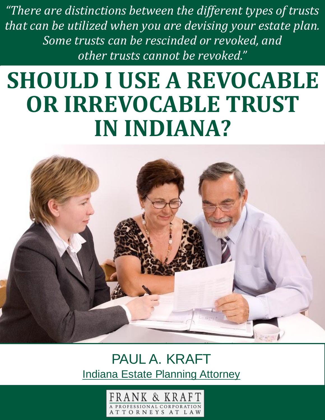There are many different facets to consider  $\mathbf{I}_i$  are engaged in  $\mathbf{I}_i$  are engaged in  $\mathbf{I}_i$ *other trusts cannot be revoked.***"** *"There are distinctions between the different types of trusts that can be utilized when you are devising your estate plan. Some trusts can be rescinded or revoked, and* 

#### slicing. **SHOULD I USE A REVOCABLE** each in porto. If you act in a discretion each person that you love in the optimal fashion. **IN INDIANA? OR IRREVOCABLE TRUST**



different situation, and there are myriad different circumstances that can exist. The can exist of the can exist of the can exist. The can exist of the can exist of the can exist. The can exist of the can exist. The can ex PAUL A. KRAFT [Indiana Estate Planning Attorney](http://frankkraft.com/estate_planning/index.php/estate-planning/)

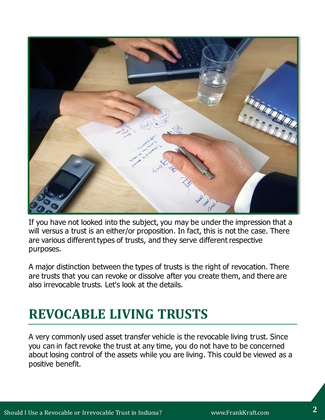

If you have not looked into the subject, you may be under the impression that a will versus a trust is an either/or proposition. In fact, this is not the case. There are various different types of trusts, and they serve different respective purposes.

A major distinction between the types of trusts is the right of revocation. There are trusts that you can revoke or dissolve after you create them, and there are also irrevocable trusts. Let's look at the details.

### **REVOCABLE LIVING TRUSTS**

A very commonly used asset transfer vehicle is the revocable living trust. Since you can in fact revoke the trust at any time, you do not have to be concerned about losing control of the assets while you are living. This could be viewed as a positive benefit.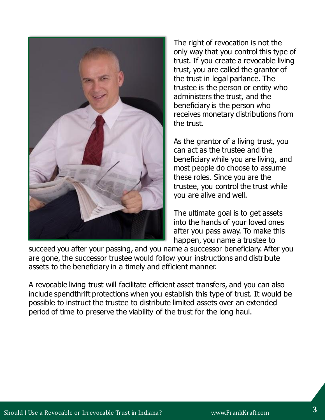

The right of revocation is not the only way that you control this type of trust. If you create a revocable living trust, you are called the grantor of the trust in legal parlance. The trustee is the person or entity who administers the trust, and the beneficiary is the person who receives monetary distributions from the trust.

As the grantor of a living trust, you can act as the trustee and the beneficiary while you are living, and most people do choose to assume these roles. Since you are the trustee, you control the trust while you are alive and well.

The ultimate goal is to get assets into the hands of your loved ones after you pass away. To make this happen, you name a trustee to

succeed you after your passing, and you name a successor beneficiary. After you are gone, the successor trustee would follow your instructions and distribute assets to the beneficiary in a timely and efficient manner.

A revocable living trust will facilitate efficient asset transfers, and you can also include spendthrift protections when you establish this type of trust. It would be possible to instruct the trustee to distribute limited assets over an extended period of time to preserve the viability of the trust for the long haul.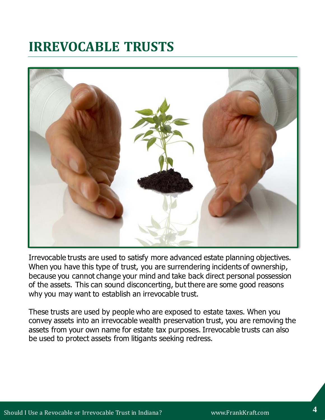# **IRREVOCABLE TRUSTS**



Irrevocable trusts are used to satisfy more advanced estate planning objectives. When you have this type of trust, you are surrendering incidents of ownership, because you cannot change your mind and take back direct personal possession of the assets. This can sound disconcerting, but there are some good reasons why you may want to establish an irrevocable trust.

These trusts are used by people who are exposed to estate taxes. When you convey assets into an irrevocable wealth preservation trust, you are removing the assets from your own name for estate tax purposes. Irrevocable trusts can also be used to protect assets from litigants seeking redress.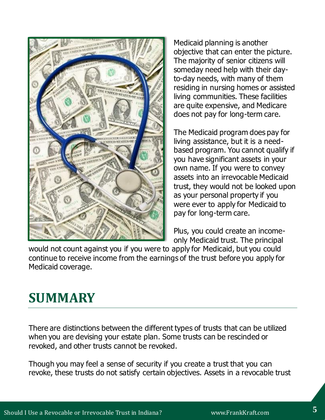

Medicaid planning is another objective that can enter the picture. The majority of senior citizens will someday need help with their dayto-day needs, with many of them residing in nursing homes or assisted living communities. These facilities are quite expensive, and Medicare does not pay for long-term care.

The Medicaid program does pay for living assistance, but it is a needbased program. You cannot qualify if you have significant assets in your own name. If you were to convey assets into an irrevocable Medicaid trust, they would not be looked upon as your personal property if you were ever to apply for Medicaid to pay for long-term care.

Plus, you could create an incomeonly Medicaid trust. The principal

would not count against you if you were to apply for Medicaid, but you could continue to receive income from the earnings of the trust before you apply for Medicaid coverage.

# **SUMMARY**

There are distinctions between the different types of trusts that can be utilized when you are devising your estate plan. Some trusts can be rescinded or revoked, and other trusts cannot be revoked.

Though you may feel a sense of security if you create a trust that you can revoke, these trusts do not satisfy certain objectives. Assets in a revocable trust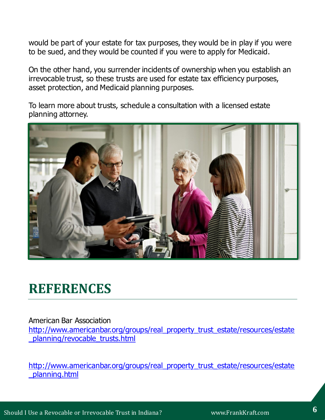would be part of your estate for tax purposes, they would be in play if you were to be sued, and they would be counted if you were to apply for Medicaid.

On the other hand, you surrender incidents of ownership when you establish an irrevocable trust, so these trusts are used for estate tax efficiency purposes, asset protection, and Medicaid planning purposes.

To learn more about trusts, schedule a consultation with a licensed estate planning attorney.



#### **REFERENCES**

American Bar Association

[http://www.americanbar.org/groups/real\\_property\\_trust\\_estate/resources/estate](http://www.americanbar.org/groups/real_property_trust_estate/resources/estate_planning/revocable_trusts.html) [\\_planning/revocable\\_trusts.html](http://www.americanbar.org/groups/real_property_trust_estate/resources/estate_planning/revocable_trusts.html)

[http://www.americanbar.org/groups/real\\_property\\_trust\\_estate/resources/estate](http://www.americanbar.org/groups/real_property_trust_estate/resources/estate_planning.html) [\\_planning.html](http://www.americanbar.org/groups/real_property_trust_estate/resources/estate_planning.html)